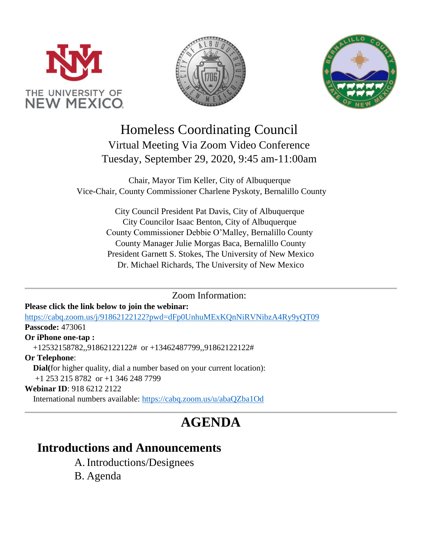





# Homeless Coordinating Council Virtual Meeting Via Zoom Video Conference Tuesday, September 29, 2020, 9:45 am-11:00am

Chair, Mayor Tim Keller, City of Albuquerque Vice-Chair, County Commissioner Charlene Pyskoty, Bernalillo County

> City Council President Pat Davis, City of Albuquerque City Councilor Isaac Benton, City of Albuquerque County Commissioner Debbie O'Malley, Bernalillo County County Manager Julie Morgas Baca, Bernalillo County President Garnett S. Stokes, The University of New Mexico Dr. Michael Richards, The University of New Mexico

> > Zoom Information:

#### **Please click the link below to join the webinar:**

<https://cabq.zoom.us/j/91862122122?pwd=dFp0UnhuMExKQnNiRVNibzA4Ry9yQT09> **Passcode:** 473061

#### **Or iPhone one-tap :**

+12532158782,,91862122122# or +13462487799,,91862122122#

**Or Telephone**:

 **Dial(**for higher quality, dial a number based on your current location): +1 253 215 8782 or +1 346 248 7799

#### **Webinar ID**: 918 6212 2122

International numbers available:<https://cabq.zoom.us/u/abaQZba1Od>

# **AGENDA**

### **Introductions and Announcements**

- A.Introductions/Designees
- B. Agenda